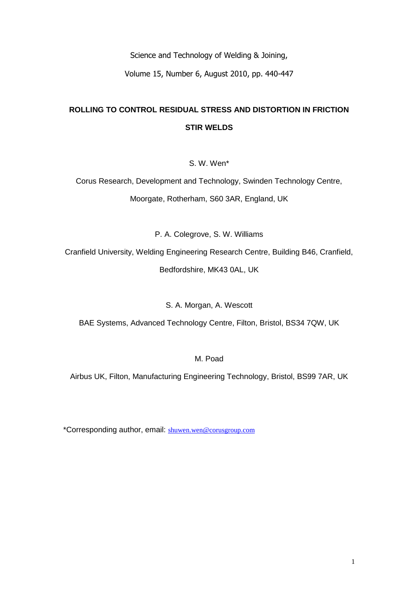Science and Technology of Welding & Joining,

Volume 15, Number 6, August 2010, pp. 440-447

# **ROLLING TO CONTROL RESIDUAL STRESS AND DISTORTION IN FRICTION STIR WELDS**

S. W. Wen\*

Corus Research, Development and Technology, Swinden Technology Centre, Moorgate, Rotherham, S60 3AR, England, UK

P. A. Colegrove, S. W. Williams

Cranfield University, Welding Engineering Research Centre, Building B46, Cranfield, Bedfordshire, MK43 0AL, UK

S. A. Morgan, A. Wescott

BAE Systems, Advanced Technology Centre, Filton, Bristol, BS34 7QW, UK

M. Poad

Airbus UK, Filton, Manufacturing Engineering Technology, Bristol, BS99 7AR, UK

\*Corresponding author, email: shuwen.wen@corusgroup.com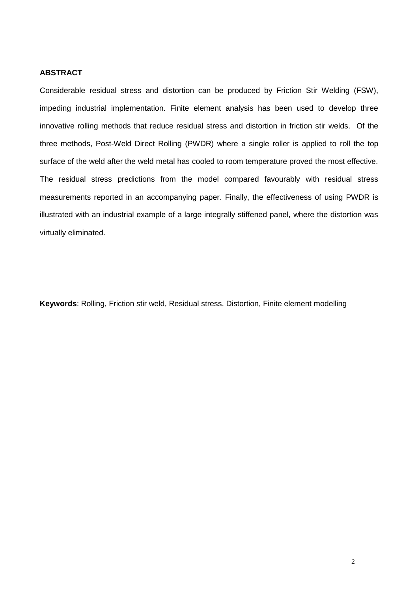## **ABSTRACT**

Considerable residual stress and distortion can be produced by Friction Stir Welding (FSW), impeding industrial implementation. Finite element analysis has been used to develop three innovative rolling methods that reduce residual stress and distortion in friction stir welds. Of the three methods, Post-Weld Direct Rolling (PWDR) where a single roller is applied to roll the top surface of the weld after the weld metal has cooled to room temperature proved the most effective. The residual stress predictions from the model compared favourably with residual stress measurements reported in an accompanying paper. Finally, the effectiveness of using PWDR is illustrated with an industrial example of a large integrally stiffened panel, where the distortion was virtually eliminated.

**Keywords**: Rolling, Friction stir weld, Residual stress, Distortion, Finite element modelling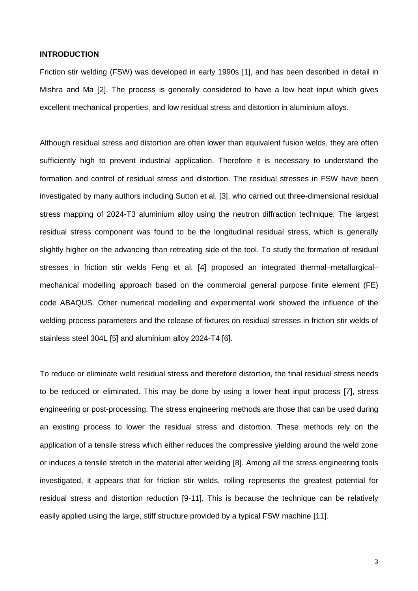# **INTRODUCTION**

Friction stir welding (FSW) was developed in early 1990s [1], and has been described in detail in Mishra and Ma [2]. The process is generally considered to have a low heat input which gives excellent mechanical properties, and low residual stress and distortion in aluminium alloys.

Although residual stress and distortion are often lower than equivalent fusion welds, they are often sufficiently high to prevent industrial application. Therefore it is necessary to understand the formation and control of residual stress and distortion. The residual stresses in FSW have been investigated by many authors including Sutton et al. [3], who carried out three-dimensional residual stress mapping of 2024-T3 aluminium alloy using the neutron diffraction technique. The largest residual stress component was found to be the longitudinal residual stress, which is generally slightly higher on the advancing than retreating side of the tool. To study the formation of residual stresses in friction stir welds Feng et al. [4] proposed an integrated thermal–metallurgical– mechanical modelling approach based on the commercial general purpose finite element (FE) code ABAQUS. Other numerical modelling and experimental work showed the influence of the welding process parameters and the release of fixtures on residual stresses in friction stir welds of stainless steel 304L [5] and aluminium alloy 2024-T4 [6].

To reduce or eliminate weld residual stress and therefore distortion, the final residual stress needs to be reduced or eliminated. This may be done by using a lower heat input process [7], stress engineering or post-processing. The stress engineering methods are those that can be used during an existing process to lower the residual stress and distortion. These methods rely on the application of a tensile stress which either reduces the compressive yielding around the weld zone or induces a tensile stretch in the material after welding [8]. Among all the stress engineering tools investigated, it appears that for friction stir welds, rolling represents the greatest potential for residual stress and distortion reduction [9-11]. This is because the technique can be relatively easily applied using the large, stiff structure provided by a typical FSW machine [11].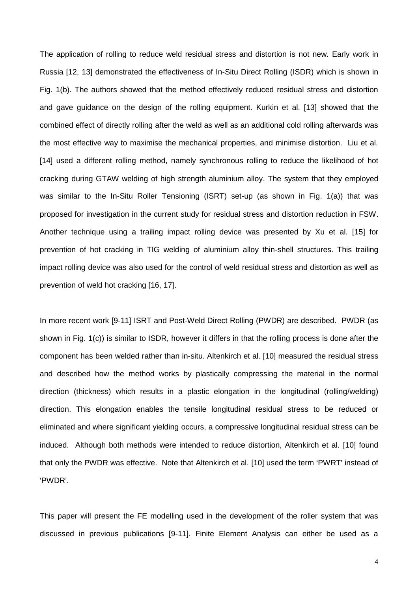The application of rolling to reduce weld residual stress and distortion is not new. Early work in Russia [12, 13] demonstrated the effectiveness of In-Situ Direct Rolling (ISDR) which is shown in Fig. 1(b). The authors showed that the method effectively reduced residual stress and distortion and gave guidance on the design of the rolling equipment. Kurkin et al. [13] showed that the combined effect of directly rolling after the weld as well as an additional cold rolling afterwards was the most effective way to maximise the mechanical properties, and minimise distortion. Liu et al. [14] used a different rolling method, namely synchronous rolling to reduce the likelihood of hot cracking during GTAW welding of high strength aluminium alloy. The system that they employed was similar to the In-Situ Roller Tensioning (ISRT) set-up (as shown in Fig. 1(a)) that was proposed for investigation in the current study for residual stress and distortion reduction in FSW. Another technique using a trailing impact rolling device was presented by Xu et al. [15] for prevention of hot cracking in TIG welding of aluminium alloy thin-shell structures. This trailing impact rolling device was also used for the control of weld residual stress and distortion as well as prevention of weld hot cracking [16, 17].

In more recent work [9-11] ISRT and Post-Weld Direct Rolling (PWDR) are described. PWDR (as shown in Fig. 1(c)) is similar to ISDR, however it differs in that the rolling process is done after the component has been welded rather than in-situ. Altenkirch et al. [10] measured the residual stress and described how the method works by plastically compressing the material in the normal direction (thickness) which results in a plastic elongation in the longitudinal (rolling/welding) direction. This elongation enables the tensile longitudinal residual stress to be reduced or eliminated and where significant yielding occurs, a compressive longitudinal residual stress can be induced. Although both methods were intended to reduce distortion, Altenkirch et al. [10] found that only the PWDR was effective. Note that Altenkirch et al. [10] used the term 'PWRT' instead of 'PWDR'.

This paper will present the FE modelling used in the development of the roller system that was discussed in previous publications [9-11]. Finite Element Analysis can either be used as a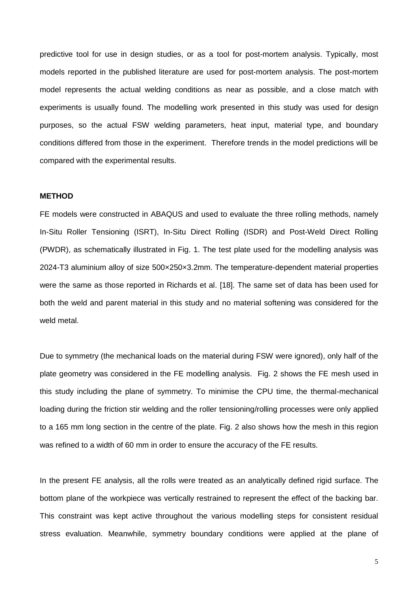predictive tool for use in design studies, or as a tool for post-mortem analysis. Typically, most models reported in the published literature are used for post-mortem analysis. The post-mortem model represents the actual welding conditions as near as possible, and a close match with experiments is usually found. The modelling work presented in this study was used for design purposes, so the actual FSW welding parameters, heat input, material type, and boundary conditions differed from those in the experiment. Therefore trends in the model predictions will be compared with the experimental results.

# **METHOD**

FE models were constructed in ABAQUS and used to evaluate the three rolling methods, namely In-Situ Roller Tensioning (ISRT), In-Situ Direct Rolling (ISDR) and Post-Weld Direct Rolling (PWDR), as schematically illustrated in Fig. 1. The test plate used for the modelling analysis was 2024-T3 aluminium alloy of size 500×250×3.2mm. The temperature-dependent material properties were the same as those reported in Richards et al. [18]. The same set of data has been used for both the weld and parent material in this study and no material softening was considered for the weld metal.

Due to symmetry (the mechanical loads on the material during FSW were ignored), only half of the plate geometry was considered in the FE modelling analysis. Fig. 2 shows the FE mesh used in this study including the plane of symmetry. To minimise the CPU time, the thermal-mechanical loading during the friction stir welding and the roller tensioning/rolling processes were only applied to a 165 mm long section in the centre of the plate. Fig. 2 also shows how the mesh in this region was refined to a width of 60 mm in order to ensure the accuracy of the FE results.

In the present FE analysis, all the rolls were treated as an analytically defined rigid surface. The bottom plane of the workpiece was vertically restrained to represent the effect of the backing bar. This constraint was kept active throughout the various modelling steps for consistent residual stress evaluation. Meanwhile, symmetry boundary conditions were applied at the plane of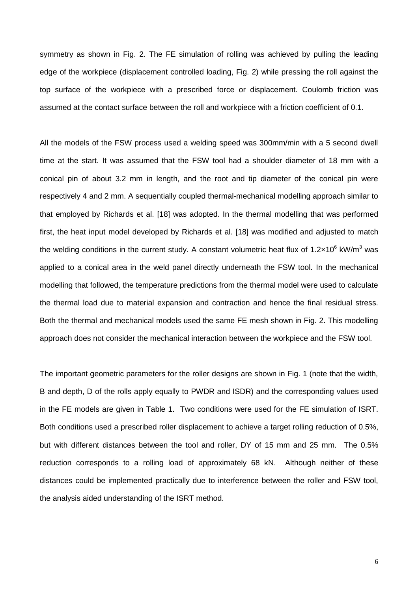symmetry as shown in Fig. 2. The FE simulation of rolling was achieved by pulling the leading edge of the workpiece (displacement controlled loading, Fig. 2) while pressing the roll against the top surface of the workpiece with a prescribed force or displacement. Coulomb friction was assumed at the contact surface between the roll and workpiece with a friction coefficient of 0.1.

All the models of the FSW process used a welding speed was 300mm/min with a 5 second dwell time at the start. It was assumed that the FSW tool had a shoulder diameter of 18 mm with a conical pin of about 3.2 mm in length, and the root and tip diameter of the conical pin were respectively 4 and 2 mm. A sequentially coupled thermal-mechanical modelling approach similar to that employed by Richards et al. [18] was adopted. In the thermal modelling that was performed first, the heat input model developed by Richards et al. [18] was modified and adjusted to match the welding conditions in the current study. A constant volumetric heat flux of 1.2×10<sup>6</sup> kW/m<sup>3</sup> was applied to a conical area in the weld panel directly underneath the FSW tool. In the mechanical modelling that followed, the temperature predictions from the thermal model were used to calculate the thermal load due to material expansion and contraction and hence the final residual stress. Both the thermal and mechanical models used the same FE mesh shown in Fig. 2. This modelling approach does not consider the mechanical interaction between the workpiece and the FSW tool.

The important geometric parameters for the roller designs are shown in Fig. 1 (note that the width, B and depth, D of the rolls apply equally to PWDR and ISDR) and the corresponding values used in the FE models are given in Table 1. Two conditions were used for the FE simulation of ISRT. Both conditions used a prescribed roller displacement to achieve a target rolling reduction of 0.5%, but with different distances between the tool and roller, DY of 15 mm and 25 mm. The 0.5% reduction corresponds to a rolling load of approximately 68 kN. Although neither of these distances could be implemented practically due to interference between the roller and FSW tool, the analysis aided understanding of the ISRT method.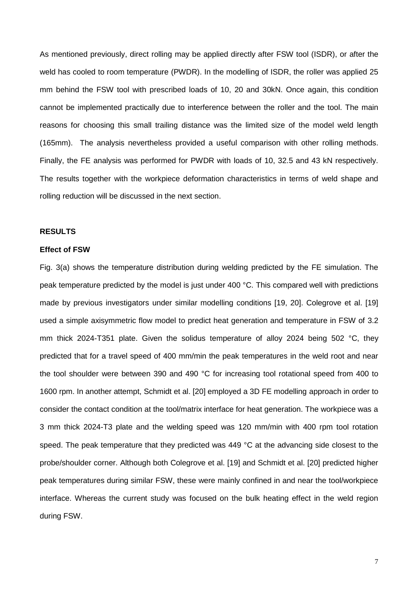As mentioned previously, direct rolling may be applied directly after FSW tool (ISDR), or after the weld has cooled to room temperature (PWDR). In the modelling of ISDR, the roller was applied 25 mm behind the FSW tool with prescribed loads of 10, 20 and 30kN. Once again, this condition cannot be implemented practically due to interference between the roller and the tool. The main reasons for choosing this small trailing distance was the limited size of the model weld length (165mm). The analysis nevertheless provided a useful comparison with other rolling methods. Finally, the FE analysis was performed for PWDR with loads of 10, 32.5 and 43 kN respectively. The results together with the workpiece deformation characteristics in terms of weld shape and rolling reduction will be discussed in the next section.

## **RESULTS**

#### **Effect of FSW**

Fig. 3(a) shows the temperature distribution during welding predicted by the FE simulation. The peak temperature predicted by the model is just under 400 °C. This compared well with predictions made by previous investigators under similar modelling conditions [19, 20]. Colegrove et al. [19] used a simple axisymmetric flow model to predict heat generation and temperature in FSW of 3.2 mm thick 2024-T351 plate. Given the solidus temperature of alloy 2024 being 502 °C, they predicted that for a travel speed of 400 mm/min the peak temperatures in the weld root and near the tool shoulder were between 390 and 490 °C for increasing tool rotational speed from 400 to 1600 rpm. In another attempt, Schmidt et al. [20] employed a 3D FE modelling approach in order to consider the contact condition at the tool/matrix interface for heat generation. The workpiece was a 3 mm thick 2024-T3 plate and the welding speed was 120 mm/min with 400 rpm tool rotation speed. The peak temperature that they predicted was 449 °C at the advancing side closest to the probe/shoulder corner. Although both Colegrove et al. [19] and Schmidt et al. [20] predicted higher peak temperatures during similar FSW, these were mainly confined in and near the tool/workpiece interface. Whereas the current study was focused on the bulk heating effect in the weld region during FSW.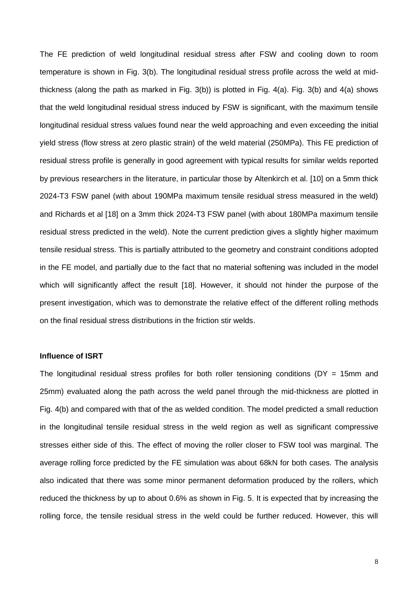The FE prediction of weld longitudinal residual stress after FSW and cooling down to room temperature is shown in Fig. 3(b). The longitudinal residual stress profile across the weld at midthickness (along the path as marked in Fig. 3(b)) is plotted in Fig. 4(a). Fig. 3(b) and 4(a) shows that the weld longitudinal residual stress induced by FSW is significant, with the maximum tensile longitudinal residual stress values found near the weld approaching and even exceeding the initial yield stress (flow stress at zero plastic strain) of the weld material (250MPa). This FE prediction of residual stress profile is generally in good agreement with typical results for similar welds reported by previous researchers in the literature, in particular those by Altenkirch et al. [10] on a 5mm thick 2024-T3 FSW panel (with about 190MPa maximum tensile residual stress measured in the weld) and Richards et al [18] on a 3mm thick 2024-T3 FSW panel (with about 180MPa maximum tensile residual stress predicted in the weld). Note the current prediction gives a slightly higher maximum tensile residual stress. This is partially attributed to the geometry and constraint conditions adopted in the FE model, and partially due to the fact that no material softening was included in the model which will significantly affect the result [18]. However, it should not hinder the purpose of the present investigation, which was to demonstrate the relative effect of the different rolling methods on the final residual stress distributions in the friction stir welds.

## **Influence of ISRT**

The longitudinal residual stress profiles for both roller tensioning conditions ( $DY = 15mm$  and 25mm) evaluated along the path across the weld panel through the mid-thickness are plotted in Fig. 4(b) and compared with that of the as welded condition. The model predicted a small reduction in the longitudinal tensile residual stress in the weld region as well as significant compressive stresses either side of this. The effect of moving the roller closer to FSW tool was marginal. The average rolling force predicted by the FE simulation was about 68kN for both cases. The analysis also indicated that there was some minor permanent deformation produced by the rollers, which reduced the thickness by up to about 0.6% as shown in Fig. 5. It is expected that by increasing the rolling force, the tensile residual stress in the weld could be further reduced. However, this will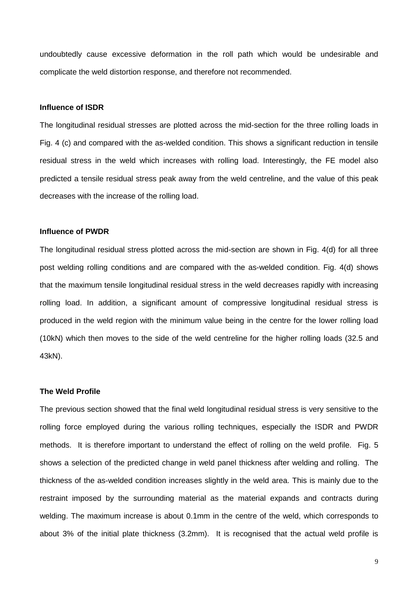undoubtedly cause excessive deformation in the roll path which would be undesirable and complicate the weld distortion response, and therefore not recommended.

# **Influence of ISDR**

The longitudinal residual stresses are plotted across the mid-section for the three rolling loads in Fig. 4 (c) and compared with the as-welded condition. This shows a significant reduction in tensile residual stress in the weld which increases with rolling load. Interestingly, the FE model also predicted a tensile residual stress peak away from the weld centreline, and the value of this peak decreases with the increase of the rolling load.

#### **Influence of PWDR**

The longitudinal residual stress plotted across the mid-section are shown in Fig. 4(d) for all three post welding rolling conditions and are compared with the as-welded condition. Fig. 4(d) shows that the maximum tensile longitudinal residual stress in the weld decreases rapidly with increasing rolling load. In addition, a significant amount of compressive longitudinal residual stress is produced in the weld region with the minimum value being in the centre for the lower rolling load (10kN) which then moves to the side of the weld centreline for the higher rolling loads (32.5 and 43kN).

#### **The Weld Profile**

The previous section showed that the final weld longitudinal residual stress is very sensitive to the rolling force employed during the various rolling techniques, especially the ISDR and PWDR methods. It is therefore important to understand the effect of rolling on the weld profile. Fig. 5 shows a selection of the predicted change in weld panel thickness after welding and rolling. The thickness of the as-welded condition increases slightly in the weld area. This is mainly due to the restraint imposed by the surrounding material as the material expands and contracts during welding. The maximum increase is about 0.1mm in the centre of the weld, which corresponds to about 3% of the initial plate thickness (3.2mm). It is recognised that the actual weld profile is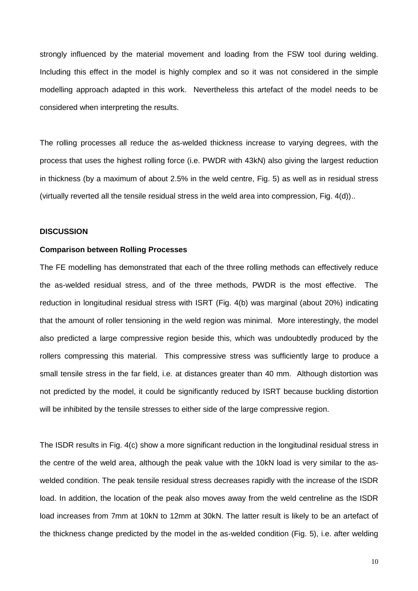strongly influenced by the material movement and loading from the FSW tool during welding. Including this effect in the model is highly complex and so it was not considered in the simple modelling approach adapted in this work. Nevertheless this artefact of the model needs to be considered when interpreting the results.

The rolling processes all reduce the as-welded thickness increase to varying degrees, with the process that uses the highest rolling force (i.e. PWDR with 43kN) also giving the largest reduction in thickness (by a maximum of about 2.5% in the weld centre, Fig. 5) as well as in residual stress (virtually reverted all the tensile residual stress in the weld area into compression, Fig. 4(d))..

#### **DISCUSSION**

## **Comparison between Rolling Processes**

The FE modelling has demonstrated that each of the three rolling methods can effectively reduce the as-welded residual stress, and of the three methods, PWDR is the most effective. The reduction in longitudinal residual stress with ISRT (Fig. 4(b) was marginal (about 20%) indicating that the amount of roller tensioning in the weld region was minimal. More interestingly, the model also predicted a large compressive region beside this, which was undoubtedly produced by the rollers compressing this material. This compressive stress was sufficiently large to produce a small tensile stress in the far field, i.e. at distances greater than 40 mm. Although distortion was not predicted by the model, it could be significantly reduced by ISRT because buckling distortion will be inhibited by the tensile stresses to either side of the large compressive region.

The ISDR results in Fig. 4(c) show a more significant reduction in the longitudinal residual stress in the centre of the weld area, although the peak value with the 10kN load is very similar to the aswelded condition. The peak tensile residual stress decreases rapidly with the increase of the ISDR load. In addition, the location of the peak also moves away from the weld centreline as the ISDR load increases from 7mm at 10kN to 12mm at 30kN. The latter result is likely to be an artefact of the thickness change predicted by the model in the as-welded condition (Fig. 5), i.e. after welding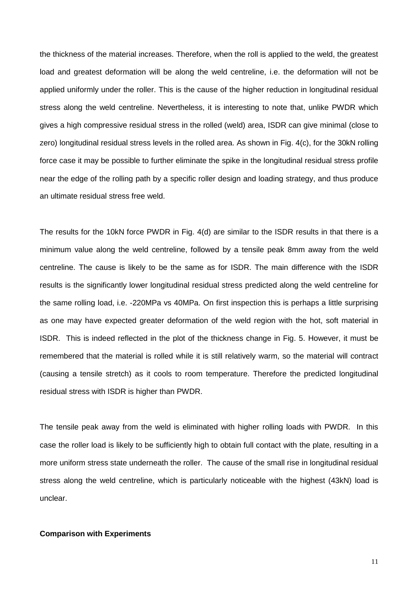the thickness of the material increases. Therefore, when the roll is applied to the weld, the greatest load and greatest deformation will be along the weld centreline, i.e. the deformation will not be applied uniformly under the roller. This is the cause of the higher reduction in longitudinal residual stress along the weld centreline. Nevertheless, it is interesting to note that, unlike PWDR which gives a high compressive residual stress in the rolled (weld) area, ISDR can give minimal (close to zero) longitudinal residual stress levels in the rolled area. As shown in Fig. 4(c), for the 30kN rolling force case it may be possible to further eliminate the spike in the longitudinal residual stress profile near the edge of the rolling path by a specific roller design and loading strategy, and thus produce an ultimate residual stress free weld.

The results for the 10kN force PWDR in Fig. 4(d) are similar to the ISDR results in that there is a minimum value along the weld centreline, followed by a tensile peak 8mm away from the weld centreline. The cause is likely to be the same as for ISDR. The main difference with the ISDR results is the significantly lower longitudinal residual stress predicted along the weld centreline for the same rolling load, i.e. -220MPa vs 40MPa. On first inspection this is perhaps a little surprising as one may have expected greater deformation of the weld region with the hot, soft material in ISDR. This is indeed reflected in the plot of the thickness change in Fig. 5. However, it must be remembered that the material is rolled while it is still relatively warm, so the material will contract (causing a tensile stretch) as it cools to room temperature. Therefore the predicted longitudinal residual stress with ISDR is higher than PWDR.

The tensile peak away from the weld is eliminated with higher rolling loads with PWDR. In this case the roller load is likely to be sufficiently high to obtain full contact with the plate, resulting in a more uniform stress state underneath the roller. The cause of the small rise in longitudinal residual stress along the weld centreline, which is particularly noticeable with the highest (43kN) load is unclear.

## **Comparison with Experiments**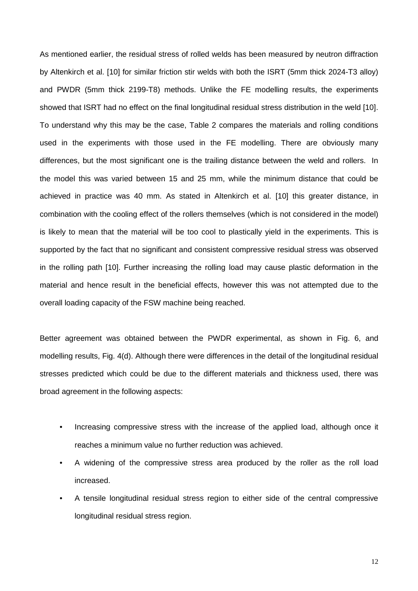As mentioned earlier, the residual stress of rolled welds has been measured by neutron diffraction by Altenkirch et al. [10] for similar friction stir welds with both the ISRT (5mm thick 2024-T3 alloy) and PWDR (5mm thick 2199-T8) methods. Unlike the FE modelling results, the experiments showed that ISRT had no effect on the final longitudinal residual stress distribution in the weld [10]. To understand why this may be the case, Table 2 compares the materials and rolling conditions used in the experiments with those used in the FE modelling. There are obviously many differences, but the most significant one is the trailing distance between the weld and rollers. In the model this was varied between 15 and 25 mm, while the minimum distance that could be achieved in practice was 40 mm. As stated in Altenkirch et al. [10] this greater distance, in combination with the cooling effect of the rollers themselves (which is not considered in the model) is likely to mean that the material will be too cool to plastically yield in the experiments. This is supported by the fact that no significant and consistent compressive residual stress was observed in the rolling path [10]. Further increasing the rolling load may cause plastic deformation in the material and hence result in the beneficial effects, however this was not attempted due to the overall loading capacity of the FSW machine being reached.

Better agreement was obtained between the PWDR experimental, as shown in Fig. 6, and modelling results, Fig. 4(d). Although there were differences in the detail of the longitudinal residual stresses predicted which could be due to the different materials and thickness used, there was broad agreement in the following aspects:

- Increasing compressive stress with the increase of the applied load, although once it reaches a minimum value no further reduction was achieved.
- A widening of the compressive stress area produced by the roller as the roll load increased.
- A tensile longitudinal residual stress region to either side of the central compressive longitudinal residual stress region.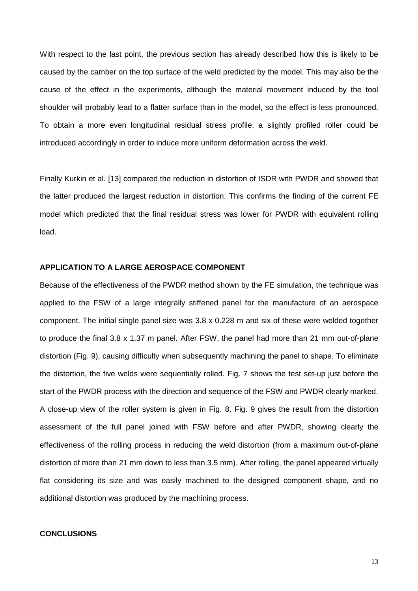With respect to the last point, the previous section has already described how this is likely to be caused by the camber on the top surface of the weld predicted by the model. This may also be the cause of the effect in the experiments, although the material movement induced by the tool shoulder will probably lead to a flatter surface than in the model, so the effect is less pronounced. To obtain a more even longitudinal residual stress profile, a slightly profiled roller could be introduced accordingly in order to induce more uniform deformation across the weld.

Finally Kurkin et al. [13] compared the reduction in distortion of ISDR with PWDR and showed that the latter produced the largest reduction in distortion. This confirms the finding of the current FE model which predicted that the final residual stress was lower for PWDR with equivalent rolling load.

## **APPLICATION TO A LARGE AEROSPACE COMPONENT**

Because of the effectiveness of the PWDR method shown by the FE simulation, the technique was applied to the FSW of a large integrally stiffened panel for the manufacture of an aerospace component. The initial single panel size was 3.8 x 0.228 m and six of these were welded together to produce the final 3.8 x 1.37 m panel. After FSW, the panel had more than 21 mm out-of-plane distortion (Fig. 9), causing difficulty when subsequently machining the panel to shape. To eliminate the distortion, the five welds were sequentially rolled. Fig. 7 shows the test set-up just before the start of the PWDR process with the direction and sequence of the FSW and PWDR clearly marked. A close-up view of the roller system is given in Fig. 8. Fig. 9 gives the result from the distortion assessment of the full panel joined with FSW before and after PWDR, showing clearly the effectiveness of the rolling process in reducing the weld distortion (from a maximum out-of-plane distortion of more than 21 mm down to less than 3.5 mm). After rolling, the panel appeared virtually flat considering its size and was easily machined to the designed component shape, and no additional distortion was produced by the machining process.

# **CONCLUSIONS**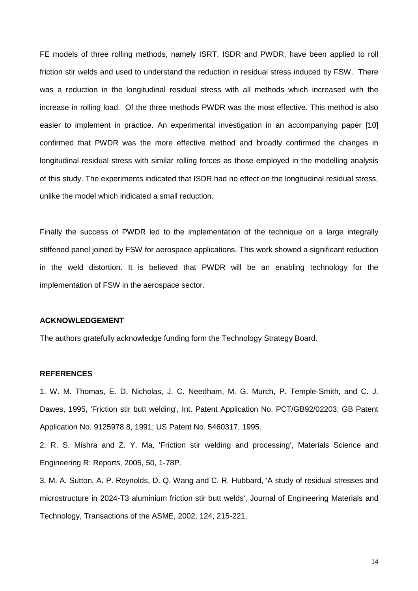FE models of three rolling methods, namely ISRT, ISDR and PWDR, have been applied to roll friction stir welds and used to understand the reduction in residual stress induced by FSW. There was a reduction in the longitudinal residual stress with all methods which increased with the increase in rolling load. Of the three methods PWDR was the most effective. This method is also easier to implement in practice. An experimental investigation in an accompanying paper [10] confirmed that PWDR was the more effective method and broadly confirmed the changes in longitudinal residual stress with similar rolling forces as those employed in the modelling analysis of this study. The experiments indicated that ISDR had no effect on the longitudinal residual stress, unlike the model which indicated a small reduction.

Finally the success of PWDR led to the implementation of the technique on a large integrally stiffened panel joined by FSW for aerospace applications. This work showed a significant reduction in the weld distortion. It is believed that PWDR will be an enabling technology for the implementation of FSW in the aerospace sector.

## **ACKNOWLEDGEMENT**

The authors gratefully acknowledge funding form the Technology Strategy Board.

## **REFERENCES**

1. W. M. Thomas, E. D. Nicholas, J. C. Needham, M. G. Murch, P. Temple-Smith, and C. J. Dawes, 1995, 'Friction stir butt welding', Int. Patent Application No. PCT/GB92/02203; GB Patent Application No. 9125978.8, 1991; US Patent No. 5460317, 1995.

2. R. S. Mishra and Z. Y. Ma, 'Friction stir welding and processing', Materials Science and Engineering R: Reports, 2005, 50, 1-78P.

3. M. A. Sutton, A. P. Reynolds, D. Q. Wang and C. R. Hubbard, 'A study of residual stresses and microstructure in 2024-T3 aluminium friction stir butt welds', Journal of Engineering Materials and Technology, Transactions of the ASME, 2002, 124, 215-221.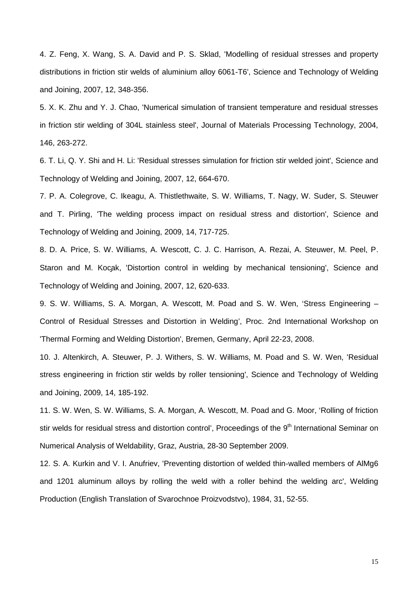4. Z. Feng, X. Wang, S. A. David and P. S. Sklad, 'Modelling of residual stresses and property distributions in friction stir welds of aluminium alloy 6061-T6', Science and Technology of Welding and Joining, 2007, 12, 348-356.

5. X. K. Zhu and Y. J. Chao, 'Numerical simulation of transient temperature and residual stresses in friction stir welding of 304L stainless steel', Journal of Materials Processing Technology, 2004, 146, 263-272.

6. T. Li, Q. Y. Shi and H. Li: 'Residual stresses simulation for friction stir welded joint', Science and Technology of Welding and Joining, 2007, 12, 664-670.

7. P. A. Colegrove, C. Ikeagu, A. Thistlethwaite, S. W. Williams, T. Nagy, W. Suder, S. Steuwer and T. Pirling, 'The welding process impact on residual stress and distortion', Science and Technology of Welding and Joining, 2009, 14, 717-725.

8. D. A. Price, S. W. Williams, A. Wescott, C. J. C. Harrison, A. Rezai, A. Steuwer, M. Peel, P. Staron and M. Kocak, 'Distortion control in welding by mechanical tensioning', Science and Technology of Welding and Joining, 2007, 12, 620-633.

9. S. W. Williams, S. A. Morgan, A. Wescott, M. Poad and S. W. Wen, 'Stress Engineering – Control of Residual Stresses and Distortion in Welding', Proc. 2nd International Workshop on 'Thermal Forming and Welding Distortion', Bremen, Germany, April 22-23, 2008.

10. J. Altenkirch, A. Steuwer, P. J. Withers, S. W. Williams, M. Poad and S. W. Wen, 'Residual stress engineering in friction stir welds by roller tensioning', Science and Technology of Welding and Joining, 2009, 14, 185-192.

11. S. W. Wen, S. W. Williams, S. A. Morgan, A. Wescott, M. Poad and G. Moor, 'Rolling of friction stir welds for residual stress and distortion control', Proceedings of the 9<sup>th</sup> International Seminar on Numerical Analysis of Weldability, Graz, Austria, 28-30 September 2009.

12. S. A. Kurkin and V. I. Anufriev, 'Preventing distortion of welded thin-walled members of AlMg6 and 1201 aluminum alloys by rolling the weld with a roller behind the welding arc', Welding Production (English Translation of Svarochnoe Proizvodstvo), 1984, 31, 52-55.